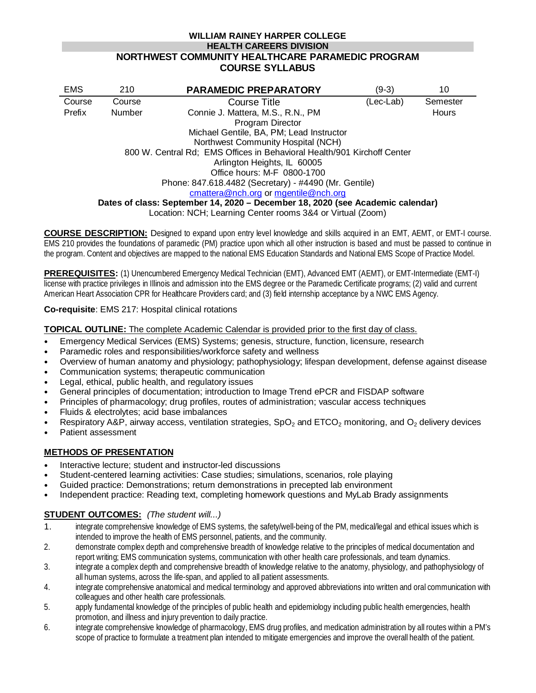#### **WILLIAM RAINEY HARPER COLLEGE HEALTH CAREERS DIVISION NORTHWEST COMMUNITY HEALTHCARE PARAMEDIC PROGRAM COURSE SYLLABUS**

| <b>EMS</b>                                                                                                                                                   | 210                                      | <b>PARAMEDIC PREPARATORY</b>      | (9-3)     | 10       |
|--------------------------------------------------------------------------------------------------------------------------------------------------------------|------------------------------------------|-----------------------------------|-----------|----------|
| Course                                                                                                                                                       | Course                                   | Course Title                      | (Lec-Lab) | Semester |
| Prefix                                                                                                                                                       | Number                                   | Connie J. Mattera, M.S., R.N., PM |           | Hours    |
|                                                                                                                                                              |                                          | Program Director                  |           |          |
|                                                                                                                                                              | Michael Gentile, BA, PM; Lead Instructor |                                   |           |          |
| Northwest Community Hospital (NCH)                                                                                                                           |                                          |                                   |           |          |
| 800 W. Central Rd; EMS Offices in Behavioral Health/901 Kirchoff Center                                                                                      |                                          |                                   |           |          |
| Arlington Heights, IL 60005                                                                                                                                  |                                          |                                   |           |          |
| Office hours: M-F 0800-1700<br>Phone: 847.618.4482 (Secretary) - #4490 (Mr. Gentile)                                                                         |                                          |                                   |           |          |
|                                                                                                                                                              |                                          |                                   |           |          |
| Dates of class: September 14, 2020 - December 18, 2020 (see Academic calendar)                                                                               |                                          |                                   |           |          |
| $\mathsf{L}$ and $\mathsf{L}$ and $\mathsf{L}$ and $\mathsf{L}$ and $\mathsf{L}$ are so that $\mathsf{L}$ and $\mathsf{L}$ and $\mathsf{L}$ and $\mathsf{L}$ |                                          |                                   |           |          |

Location: NCH; Learning Center rooms 3&4 or Virtual (Zoom)

**COURSE DESCRIPTION:** Designed to expand upon entry level knowledge and skills acquired in an EMT, AEMT, or EMT-I course. EMS 210 provides the foundations of paramedic (PM) practice upon which all other instruction is based and must be passed to continue in the program. Content and objectives are mapped to the national EMS Education Standards and National EMS Scope of Practice Model.

**PREREQUISITES:** (1) Unencumbered Emergency Medical Technician (EMT), Advanced EMT (AEMT), or EMT-Intermediate (EMT-I) license with practice privileges in Illinois and admission into the EMS degree or the Paramedic Certificate programs; (2) valid and current American Heart Association CPR for Healthcare Providers card; and (3) field internship acceptance by a NWC EMS Agency.

#### **Co-requisite**: EMS 217: Hospital clinical rotations

**TOPICAL OUTLINE:** The complete Academic Calendar is provided prior to the first day of class.

- Emergency Medical Services (EMS) Systems; genesis, structure, function, licensure, research
- Paramedic roles and responsibilities/workforce safety and wellness
- Overview of human anatomy and physiology; pathophysiology; lifespan development, defense against disease
- Communication systems; therapeutic communication
- Legal, ethical, public health, and regulatory issues
- General principles of documentation; introduction to Image Trend ePCR and FISDAP software
- Principles of pharmacology; drug profiles, routes of administration; vascular access techniques
- Fluids & electrolytes; acid base imbalances
- Respiratory A&P, airway access, ventilation strategies,  $SpO<sub>2</sub>$  and ETCO<sub>2</sub> monitoring, and  $O<sub>2</sub>$  delivery devices
- Patient assessment

## **METHODS OF PRESENTATION**

- Interactive lecture; student and instructor-led discussions
- Student-centered learning activities: Case studies; simulations, scenarios, role playing
- Guided practice: Demonstrations; return demonstrations in precepted lab environment
- Independent practice: Reading text, completing homework questions and MyLab Brady assignments

## **STUDENT OUTCOMES:** *(The student will...)*

- 1. integrate comprehensive knowledge of EMS systems, the safety/well-being of the PM, medical/legal and ethical issues which is intended to improve the health of EMS personnel, patients, and the community.
- 2. demonstrate complex depth and comprehensive breadth of knowledge relative to the principles of medical documentation and report writing; EMS communication systems, communication with other health care professionals, and team dynamics.
- 3. integrate a complex depth and comprehensive breadth of knowledge relative to the anatomy, physiology, and pathophysiology of all human systems, across the life-span, and applied to all patient assessments.
- 4. integrate comprehensive anatomical and medical terminology and approved abbreviations into written and oral communication with colleagues and other health care professionals.
- 5. apply fundamental knowledge of the principles of public health and epidemiology including public health emergencies, health promotion, and illness and injury prevention to daily practice.
- 6. integrate comprehensive knowledge of pharmacology, EMS drug profiles, and medication administration by all routes within a PM's scope of practice to formulate a treatment plan intended to mitigate emergencies and improve the overall health of the patient.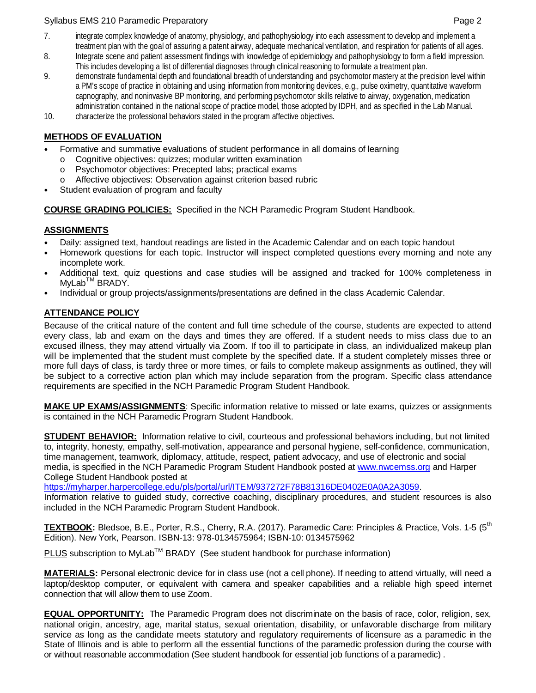#### Syllabus EMS 210 Paramedic Preparatory **Page 2** and the state of the state of the state of the state of the state of the state of the state of the state of the state of the state of the state of the state of the state of t

- 7. integrate complex knowledge of anatomy, physiology, and pathophysiology into each assessment to develop and implement a treatment plan with the goal of assuring a patent airway, adequate mechanical ventilation, and respiration for patients of all ages.
- 8. Integrate scene and patient assessment findings with knowledge of epidemiology and pathophysiology to form a field impression. This includes developing a list of differential diagnoses through clinical reasoning to formulate a treatment plan.
- 9. demonstrate fundamental depth and foundational breadth of understanding and psychomotor mastery at the precision level within a PM's scope of practice in obtaining and using information from monitoring devices, e.g., pulse oximetry, quantitative waveform capnography, and noninvasive BP monitoring, and performing psychomotor skills relative to airway, oxygenation, medication administration contained in the national scope of practice model, those adopted by IDPH, and as specified in the Lab Manual.
- 10. characterize the professional behaviors stated in the program affective objectives.

# **METHODS OF EVALUATION**

- Formative and summative evaluations of student performance in all domains of learning
	- o Cognitive objectives: quizzes; modular written examination<br>
	o Psychomotor objectives: Precepted labs: practical exams
	- Psychomotor objectives: Precepted labs; practical exams
	- o Affective objectives: Observation against criterion based rubric
- Student evaluation of program and faculty

## **COURSE GRADING POLICIES:** Specified in the NCH Paramedic Program Student Handbook.

## **ASSIGNMENTS**

- Daily: assigned text, handout readings are listed in the Academic Calendar and on each topic handout
- Homework questions for each topic. Instructor will inspect completed questions every morning and note any incomplete work.
- Additional text, quiz questions and case studies will be assigned and tracked for 100% completeness in MyLab<sup>™</sup> BRADY.
- Individual or group projects/assignments/presentations are defined in the class Academic Calendar.

# **ATTENDANCE POLICY**

Because of the critical nature of the content and full time schedule of the course, students are expected to attend every class, lab and exam on the days and times they are offered. If a student needs to miss class due to an excused illness, they may attend virtually via Zoom. If too ill to participate in class, an individualized makeup plan will be implemented that the student must complete by the specified date. If a student completely misses three or more full days of class, is tardy three or more times, or fails to complete makeup assignments as outlined, they will be subject to a corrective action plan which may include separation from the program. Specific class attendance requirements are specified in the NCH Paramedic Program Student Handbook.

**MAKE UP EXAMS/ASSIGNMENTS**: Specific information relative to missed or late exams, quizzes or assignments is contained in the NCH Paramedic Program Student Handbook.

**STUDENT BEHAVIOR:** Information relative to civil, courteous and professional behaviors including, but not limited to, integrity, honesty, empathy, self-motivation, appearance and personal hygiene, self-confidence, communication, time management, teamwork, diplomacy, attitude, respect, patient advocacy, and use of electronic and social media, is specified in the NCH Paramedic Program Student Handbook posted at [www.nwcemss.org](http://www.nwcemss.org/) and Harper College Student Handbook posted at

[https://myharper.harpercollege.edu/pls/portal/url/ITEM/937272F78B81316DE0402E0A0A2A3059.](https://myharper.harpercollege.edu/pls/portal/url/ITEM/937272F78B81316DE0402E0A0A2A3059)

Information relative to guided study, corrective coaching, disciplinary procedures, and student resources is also included in the NCH Paramedic Program Student Handbook.

**TEXTBOOK:** Bledsoe, B.E., Porter, R.S., Cherry, R.A. (2017). Paramedic Care: Principles & Practice, Vols. 1-5 (5<sup>th</sup> Edition). New York, Pearson. ISBN-13: 978-0134575964; ISBN-10: 0134575962

 $PLUS$  subscription to MyLab<sup>TM</sup> BRADY (See student handbook for purchase information)

**MATERIALS:** Personal electronic device for in class use (not a cell phone). If needing to attend virtually, will need a laptop/desktop computer, or equivalent with camera and speaker capabilities and a reliable high speed internet connection that will allow them to use Zoom.

**EQUAL OPPORTUNITY:** The Paramedic Program does not discriminate on the basis of race, color, religion, sex, national origin, ancestry, age, marital status, sexual orientation, disability, or unfavorable discharge from military service as long as the candidate meets statutory and regulatory requirements of licensure as a paramedic in the State of Illinois and is able to perform all the essential functions of the paramedic profession during the course with or without reasonable accommodation (See student handbook for essential job functions of a paramedic) .